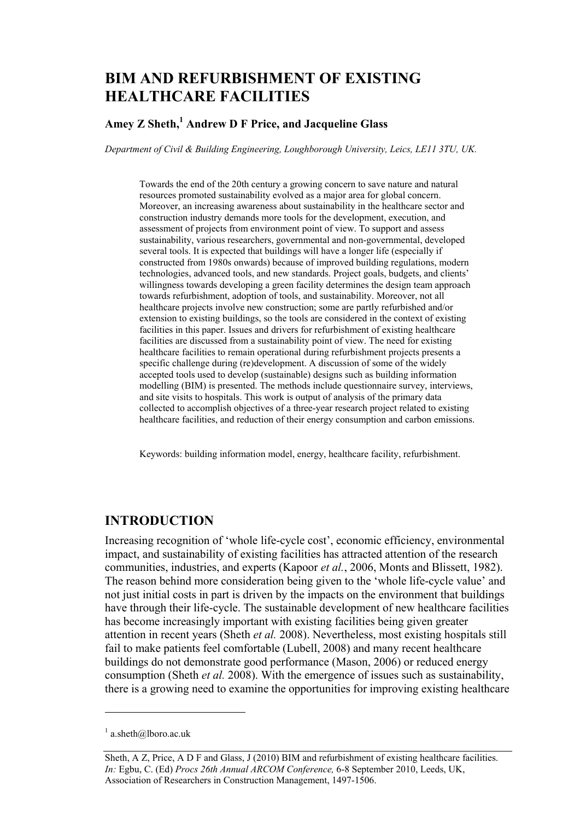# **BIM AND REFURBISHMENT OF EXISTING HEALTHCARE FACILITIES**

### **Amey Z Sheth,1 Andrew D F Price, and Jacqueline Glass**

*Department of Civil & Building Engineering, Loughborough University, Leics, LE11 3TU, UK.* 

Towards the end of the 20th century a growing concern to save nature and natural resources promoted sustainability evolved as a major area for global concern. Moreover, an increasing awareness about sustainability in the healthcare sector and construction industry demands more tools for the development, execution, and assessment of projects from environment point of view. To support and assess sustainability, various researchers, governmental and non-governmental, developed several tools. It is expected that buildings will have a longer life (especially if constructed from 1980s onwards) because of improved building regulations, modern technologies, advanced tools, and new standards. Project goals, budgets, and clients' willingness towards developing a green facility determines the design team approach towards refurbishment, adoption of tools, and sustainability. Moreover, not all healthcare projects involve new construction; some are partly refurbished and/or extension to existing buildings, so the tools are considered in the context of existing facilities in this paper. Issues and drivers for refurbishment of existing healthcare facilities are discussed from a sustainability point of view. The need for existing healthcare facilities to remain operational during refurbishment projects presents a specific challenge during (re)development. A discussion of some of the widely accepted tools used to develop (sustainable) designs such as building information modelling (BIM) is presented. The methods include questionnaire survey, interviews, and site visits to hospitals. This work is output of analysis of the primary data collected to accomplish objectives of a three-year research project related to existing healthcare facilities, and reduction of their energy consumption and carbon emissions.

Keywords: building information model, energy, healthcare facility, refurbishment.

#### **INTRODUCTION**

Increasing recognition of 'whole life-cycle cost', economic efficiency, environmental impact, and sustainability of existing facilities has attracted attention of the research communities, industries, and experts (Kapoor *et al.*, 2006, Monts and Blissett, 1982). The reason behind more consideration being given to the 'whole life-cycle value' and not just initial costs in part is driven by the impacts on the environment that buildings have through their life-cycle. The sustainable development of new healthcare facilities has become increasingly important with existing facilities being given greater attention in recent years (Sheth *et al.* 2008). Nevertheless, most existing hospitals still fail to make patients feel comfortable (Lubell, 2008) and many recent healthcare buildings do not demonstrate good performance (Mason, 2006) or reduced energy consumption (Sheth *et al.* 2008). With the emergence of issues such as sustainability, there is a growing need to examine the opportunities for improving existing healthcare

 $\overline{a}$ 

 $1$  a.sheth@lboro.ac.uk

Sheth, A Z, Price, A D F and Glass, J (2010) BIM and refurbishment of existing healthcare facilities. *In:* Egbu, C. (Ed) *Procs 26th Annual ARCOM Conference,* 6-8 September 2010, Leeds, UK, Association of Researchers in Construction Management, 1497-1506.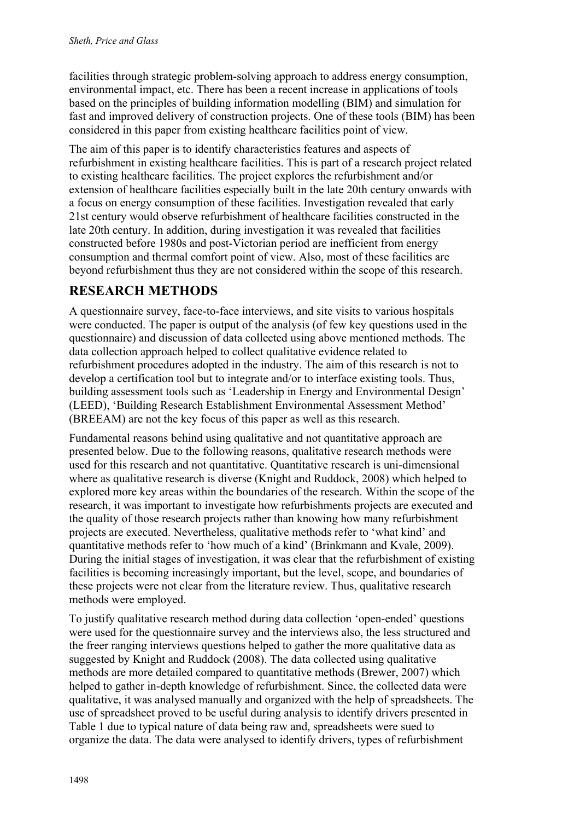facilities through strategic problem-solving approach to address energy consumption, environmental impact, etc. There has been a recent increase in applications of tools based on the principles of building information modelling (BIM) and simulation for fast and improved delivery of construction projects. One of these tools (BIM) has been considered in this paper from existing healthcare facilities point of view.

The aim of this paper is to identify characteristics features and aspects of refurbishment in existing healthcare facilities. This is part of a research project related to existing healthcare facilities. The project explores the refurbishment and/or extension of healthcare facilities especially built in the late 20th century onwards with a focus on energy consumption of these facilities. Investigation revealed that early 21st century would observe refurbishment of healthcare facilities constructed in the late 20th century. In addition, during investigation it was revealed that facilities constructed before 1980s and post-Victorian period are inefficient from energy consumption and thermal comfort point of view. Also, most of these facilities are beyond refurbishment thus they are not considered within the scope of this research.

# **RESEARCH METHODS**

A questionnaire survey, face-to-face interviews, and site visits to various hospitals were conducted. The paper is output of the analysis (of few key questions used in the questionnaire) and discussion of data collected using above mentioned methods. The data collection approach helped to collect qualitative evidence related to refurbishment procedures adopted in the industry. The aim of this research is not to develop a certification tool but to integrate and/or to interface existing tools. Thus, building assessment tools such as 'Leadership in Energy and Environmental Design' (LEED), 'Building Research Establishment Environmental Assessment Method' (BREEAM) are not the key focus of this paper as well as this research.

Fundamental reasons behind using qualitative and not quantitative approach are presented below. Due to the following reasons, qualitative research methods were used for this research and not quantitative. Quantitative research is uni-dimensional where as qualitative research is diverse (Knight and Ruddock, 2008) which helped to explored more key areas within the boundaries of the research. Within the scope of the research, it was important to investigate how refurbishments projects are executed and the quality of those research projects rather than knowing how many refurbishment projects are executed. Nevertheless, qualitative methods refer to 'what kind' and quantitative methods refer to 'how much of a kind' (Brinkmann and Kvale, 2009). During the initial stages of investigation, it was clear that the refurbishment of existing facilities is becoming increasingly important, but the level, scope, and boundaries of these projects were not clear from the literature review. Thus, qualitative research methods were employed.

To justify qualitative research method during data collection 'open-ended' questions were used for the questionnaire survey and the interviews also, the less structured and the freer ranging interviews questions helped to gather the more qualitative data as suggested by Knight and Ruddock (2008). The data collected using qualitative methods are more detailed compared to quantitative methods (Brewer, 2007) which helped to gather in-depth knowledge of refurbishment. Since, the collected data were qualitative, it was analysed manually and organized with the help of spreadsheets. The use of spreadsheet proved to be useful during analysis to identify drivers presented in Table 1 due to typical nature of data being raw and, spreadsheets were sued to organize the data. The data were analysed to identify drivers, types of refurbishment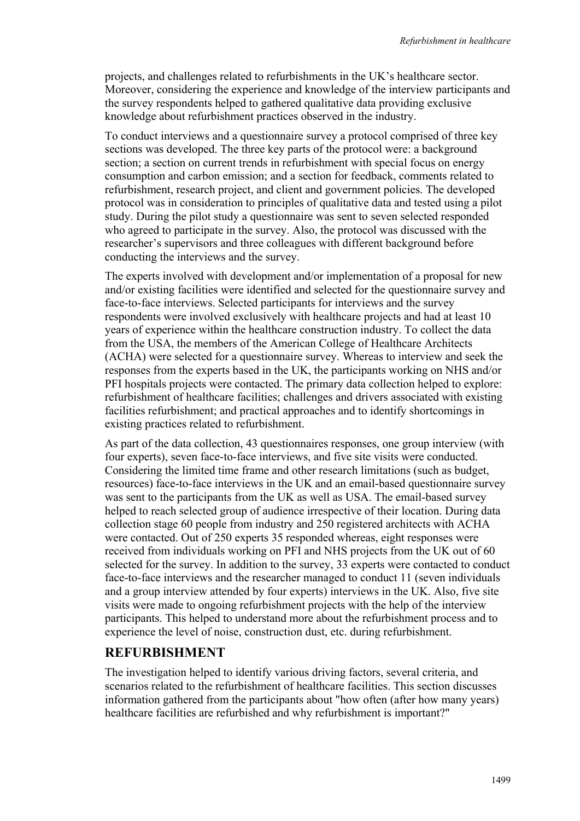projects, and challenges related to refurbishments in the UK's healthcare sector. Moreover, considering the experience and knowledge of the interview participants and the survey respondents helped to gathered qualitative data providing exclusive knowledge about refurbishment practices observed in the industry.

To conduct interviews and a questionnaire survey a protocol comprised of three key sections was developed. The three key parts of the protocol were: a background section; a section on current trends in refurbishment with special focus on energy consumption and carbon emission; and a section for feedback, comments related to refurbishment, research project, and client and government policies. The developed protocol was in consideration to principles of qualitative data and tested using a pilot study. During the pilot study a questionnaire was sent to seven selected responded who agreed to participate in the survey. Also, the protocol was discussed with the researcher's supervisors and three colleagues with different background before conducting the interviews and the survey.

The experts involved with development and/or implementation of a proposal for new and/or existing facilities were identified and selected for the questionnaire survey and face-to-face interviews. Selected participants for interviews and the survey respondents were involved exclusively with healthcare projects and had at least 10 years of experience within the healthcare construction industry. To collect the data from the USA, the members of the American College of Healthcare Architects (ACHA) were selected for a questionnaire survey. Whereas to interview and seek the responses from the experts based in the UK, the participants working on NHS and/or PFI hospitals projects were contacted. The primary data collection helped to explore: refurbishment of healthcare facilities; challenges and drivers associated with existing facilities refurbishment; and practical approaches and to identify shortcomings in existing practices related to refurbishment.

As part of the data collection, 43 questionnaires responses, one group interview (with four experts), seven face-to-face interviews, and five site visits were conducted. Considering the limited time frame and other research limitations (such as budget, resources) face-to-face interviews in the UK and an email-based questionnaire survey was sent to the participants from the UK as well as USA. The email-based survey helped to reach selected group of audience irrespective of their location. During data collection stage 60 people from industry and 250 registered architects with ACHA were contacted. Out of 250 experts 35 responded whereas, eight responses were received from individuals working on PFI and NHS projects from the UK out of 60 selected for the survey. In addition to the survey, 33 experts were contacted to conduct face-to-face interviews and the researcher managed to conduct 11 (seven individuals and a group interview attended by four experts) interviews in the UK. Also, five site visits were made to ongoing refurbishment projects with the help of the interview participants. This helped to understand more about the refurbishment process and to experience the level of noise, construction dust, etc. during refurbishment.

#### **REFURBISHMENT**

The investigation helped to identify various driving factors, several criteria, and scenarios related to the refurbishment of healthcare facilities. This section discusses information gathered from the participants about "how often (after how many years) healthcare facilities are refurbished and why refurbishment is important?"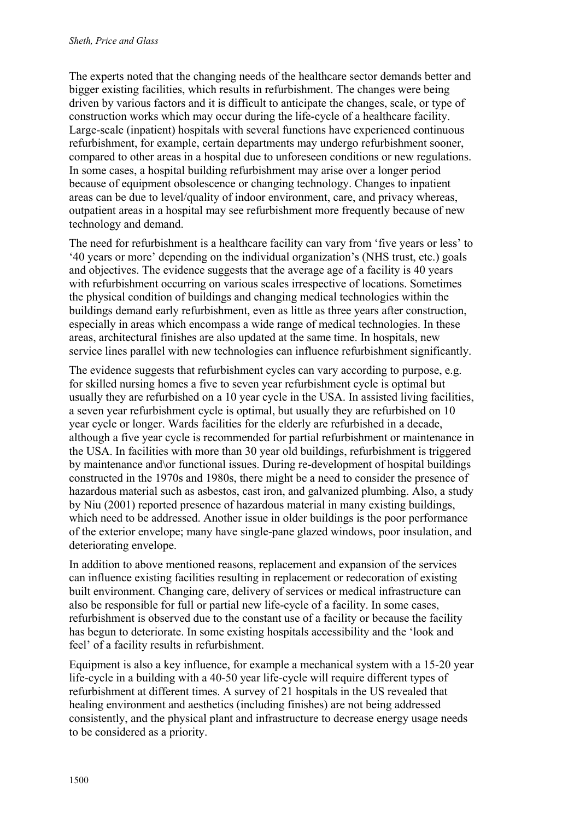The experts noted that the changing needs of the healthcare sector demands better and bigger existing facilities, which results in refurbishment. The changes were being driven by various factors and it is difficult to anticipate the changes, scale, or type of construction works which may occur during the life-cycle of a healthcare facility. Large-scale (inpatient) hospitals with several functions have experienced continuous refurbishment, for example, certain departments may undergo refurbishment sooner, compared to other areas in a hospital due to unforeseen conditions or new regulations. In some cases, a hospital building refurbishment may arise over a longer period because of equipment obsolescence or changing technology. Changes to inpatient areas can be due to level/quality of indoor environment, care, and privacy whereas, outpatient areas in a hospital may see refurbishment more frequently because of new technology and demand.

The need for refurbishment is a healthcare facility can vary from 'five years or less' to '40 years or more' depending on the individual organization's (NHS trust, etc.) goals and objectives. The evidence suggests that the average age of a facility is 40 years with refurbishment occurring on various scales irrespective of locations. Sometimes the physical condition of buildings and changing medical technologies within the buildings demand early refurbishment, even as little as three years after construction, especially in areas which encompass a wide range of medical technologies. In these areas, architectural finishes are also updated at the same time. In hospitals, new service lines parallel with new technologies can influence refurbishment significantly.

The evidence suggests that refurbishment cycles can vary according to purpose, e.g. for skilled nursing homes a five to seven year refurbishment cycle is optimal but usually they are refurbished on a 10 year cycle in the USA. In assisted living facilities, a seven year refurbishment cycle is optimal, but usually they are refurbished on 10 year cycle or longer. Wards facilities for the elderly are refurbished in a decade, although a five year cycle is recommended for partial refurbishment or maintenance in the USA. In facilities with more than 30 year old buildings, refurbishment is triggered by maintenance and\or functional issues. During re-development of hospital buildings constructed in the 1970s and 1980s, there might be a need to consider the presence of hazardous material such as asbestos, cast iron, and galvanized plumbing. Also, a study by Niu (2001) reported presence of hazardous material in many existing buildings, which need to be addressed. Another issue in older buildings is the poor performance of the exterior envelope; many have single-pane glazed windows, poor insulation, and deteriorating envelope.

In addition to above mentioned reasons, replacement and expansion of the services can influence existing facilities resulting in replacement or redecoration of existing built environment. Changing care, delivery of services or medical infrastructure can also be responsible for full or partial new life-cycle of a facility. In some cases, refurbishment is observed due to the constant use of a facility or because the facility has begun to deteriorate. In some existing hospitals accessibility and the 'look and feel' of a facility results in refurbishment.

Equipment is also a key influence, for example a mechanical system with a 15-20 year life-cycle in a building with a 40-50 year life-cycle will require different types of refurbishment at different times. A survey of 21 hospitals in the US revealed that healing environment and aesthetics (including finishes) are not being addressed consistently, and the physical plant and infrastructure to decrease energy usage needs to be considered as a priority.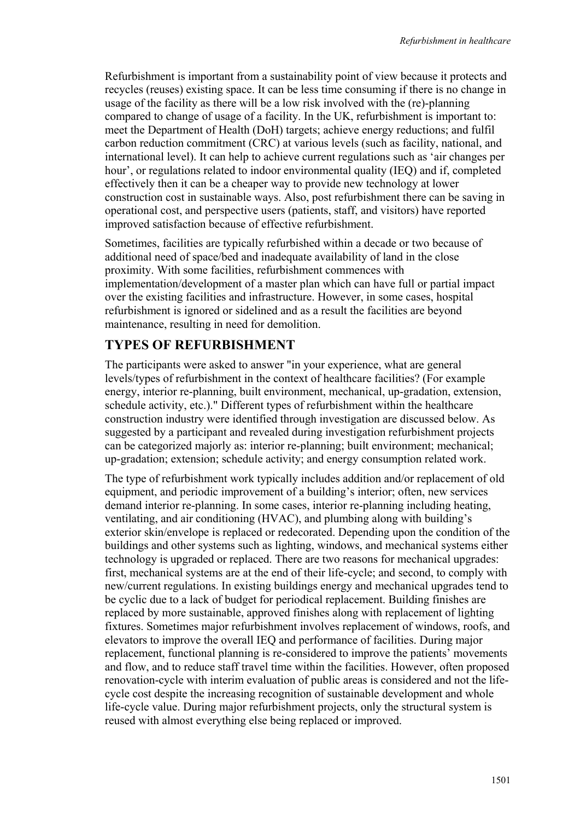Refurbishment is important from a sustainability point of view because it protects and recycles (reuses) existing space. It can be less time consuming if there is no change in usage of the facility as there will be a low risk involved with the (re)-planning compared to change of usage of a facility. In the UK, refurbishment is important to: meet the Department of Health (DoH) targets; achieve energy reductions; and fulfil carbon reduction commitment (CRC) at various levels (such as facility, national, and international level). It can help to achieve current regulations such as 'air changes per hour', or regulations related to indoor environmental quality (IEQ) and if, completed effectively then it can be a cheaper way to provide new technology at lower construction cost in sustainable ways. Also, post refurbishment there can be saving in operational cost, and perspective users (patients, staff, and visitors) have reported improved satisfaction because of effective refurbishment.

Sometimes, facilities are typically refurbished within a decade or two because of additional need of space/bed and inadequate availability of land in the close proximity. With some facilities, refurbishment commences with implementation/development of a master plan which can have full or partial impact over the existing facilities and infrastructure. However, in some cases, hospital refurbishment is ignored or sidelined and as a result the facilities are beyond maintenance, resulting in need for demolition.

# **TYPES OF REFURBISHMENT**

The participants were asked to answer "in your experience, what are general levels/types of refurbishment in the context of healthcare facilities? (For example energy, interior re-planning, built environment, mechanical, up-gradation, extension, schedule activity, etc.)." Different types of refurbishment within the healthcare construction industry were identified through investigation are discussed below. As suggested by a participant and revealed during investigation refurbishment projects can be categorized majorly as: interior re-planning; built environment; mechanical; up-gradation; extension; schedule activity; and energy consumption related work.

The type of refurbishment work typically includes addition and/or replacement of old equipment, and periodic improvement of a building's interior; often, new services demand interior re-planning. In some cases, interior re-planning including heating, ventilating, and air conditioning (HVAC), and plumbing along with building's exterior skin/envelope is replaced or redecorated. Depending upon the condition of the buildings and other systems such as lighting, windows, and mechanical systems either technology is upgraded or replaced. There are two reasons for mechanical upgrades: first, mechanical systems are at the end of their life-cycle; and second, to comply with new/current regulations. In existing buildings energy and mechanical upgrades tend to be cyclic due to a lack of budget for periodical replacement. Building finishes are replaced by more sustainable, approved finishes along with replacement of lighting fixtures. Sometimes major refurbishment involves replacement of windows, roofs, and elevators to improve the overall IEQ and performance of facilities. During major replacement, functional planning is re-considered to improve the patients' movements and flow, and to reduce staff travel time within the facilities. However, often proposed renovation-cycle with interim evaluation of public areas is considered and not the lifecycle cost despite the increasing recognition of sustainable development and whole life-cycle value. During major refurbishment projects, only the structural system is reused with almost everything else being replaced or improved.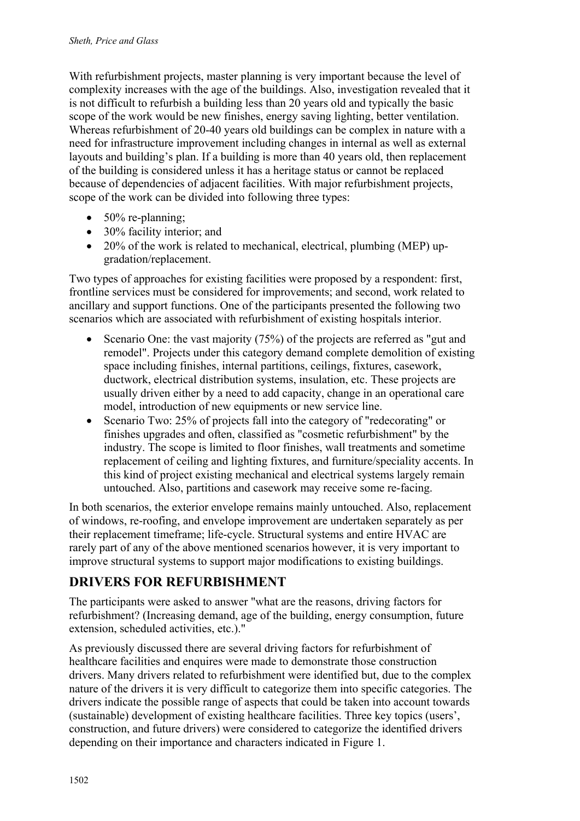With refurbishment projects, master planning is very important because the level of complexity increases with the age of the buildings. Also, investigation revealed that it is not difficult to refurbish a building less than 20 years old and typically the basic scope of the work would be new finishes, energy saving lighting, better ventilation. Whereas refurbishment of 20-40 years old buildings can be complex in nature with a need for infrastructure improvement including changes in internal as well as external layouts and building's plan. If a building is more than 40 years old, then replacement of the building is considered unless it has a heritage status or cannot be replaced because of dependencies of adjacent facilities. With major refurbishment projects, scope of the work can be divided into following three types:

- $\bullet$  50% re-planning;
- 30% facility interior; and
- 20% of the work is related to mechanical, electrical, plumbing (MEP) upgradation/replacement.

Two types of approaches for existing facilities were proposed by a respondent: first, frontline services must be considered for improvements; and second, work related to ancillary and support functions. One of the participants presented the following two scenarios which are associated with refurbishment of existing hospitals interior.

- Scenario One: the vast majority (75%) of the projects are referred as "gut and remodel". Projects under this category demand complete demolition of existing space including finishes, internal partitions, ceilings, fixtures, casework, ductwork, electrical distribution systems, insulation, etc. These projects are usually driven either by a need to add capacity, change in an operational care model, introduction of new equipments or new service line.
- Scenario Two: 25% of projects fall into the category of "redecorating" or finishes upgrades and often, classified as "cosmetic refurbishment" by the industry. The scope is limited to floor finishes, wall treatments and sometime replacement of ceiling and lighting fixtures, and furniture/speciality accents. In this kind of project existing mechanical and electrical systems largely remain untouched. Also, partitions and casework may receive some re-facing.

In both scenarios, the exterior envelope remains mainly untouched. Also, replacement of windows, re-roofing, and envelope improvement are undertaken separately as per their replacement timeframe; life-cycle. Structural systems and entire HVAC are rarely part of any of the above mentioned scenarios however, it is very important to improve structural systems to support major modifications to existing buildings.

# **DRIVERS FOR REFURBISHMENT**

The participants were asked to answer "what are the reasons, driving factors for refurbishment? (Increasing demand, age of the building, energy consumption, future extension, scheduled activities, etc.)."

As previously discussed there are several driving factors for refurbishment of healthcare facilities and enquires were made to demonstrate those construction drivers. Many drivers related to refurbishment were identified but, due to the complex nature of the drivers it is very difficult to categorize them into specific categories. The drivers indicate the possible range of aspects that could be taken into account towards (sustainable) development of existing healthcare facilities. Three key topics (users', construction, and future drivers) were considered to categorize the identified drivers depending on their importance and characters indicated in Figure 1.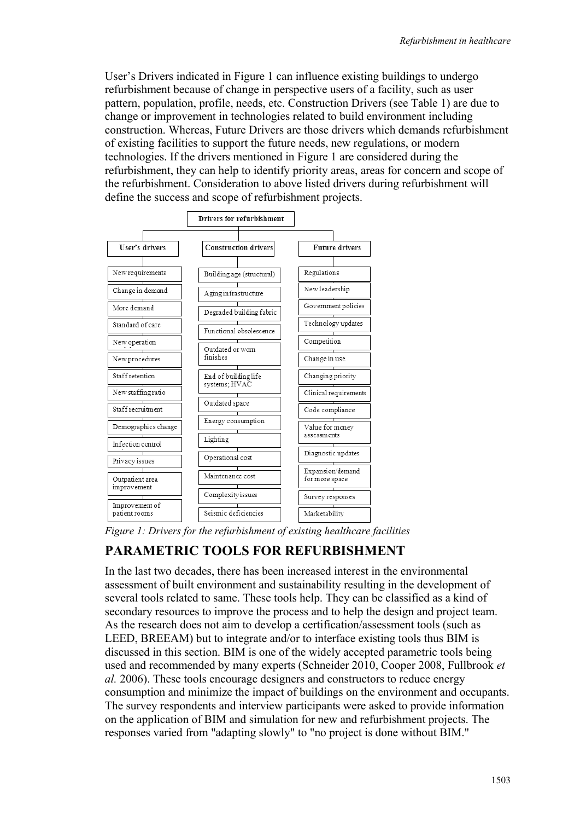User's Drivers indicated in Figure 1 can influence existing buildings to undergo refurbishment because of change in perspective users of a facility, such as user pattern, population, profile, needs, etc. Construction Drivers (see Table 1) are due to change or improvement in technologies related to build environment including construction. Whereas, Future Drivers are those drivers which demands refurbishment of existing facilities to support the future needs, new regulations, or modern technologies. If the drivers mentioned in Figure 1 are considered during the refurbishment, they can help to identify priority areas, areas for concern and scope of the refurbishment. Consideration to above listed drivers during refurbishment will define the success and scope of refurbishment projects.



*Figure 1: Drivers for the refurbishment of existing healthcare facilities* 

# **PARAMETRIC TOOLS FOR REFURBISHMENT**

In the last two decades, there has been increased interest in the environmental assessment of built environment and sustainability resulting in the development of several tools related to same. These tools help. They can be classified as a kind of secondary resources to improve the process and to help the design and project team. As the research does not aim to develop a certification/assessment tools (such as LEED, BREEAM) but to integrate and/or to interface existing tools thus BIM is discussed in this section. BIM is one of the widely accepted parametric tools being used and recommended by many experts (Schneider 2010, Cooper 2008, Fullbrook *et al.* 2006). These tools encourage designers and constructors to reduce energy consumption and minimize the impact of buildings on the environment and occupants. The survey respondents and interview participants were asked to provide information on the application of BIM and simulation for new and refurbishment projects. The responses varied from "adapting slowly" to "no project is done without BIM."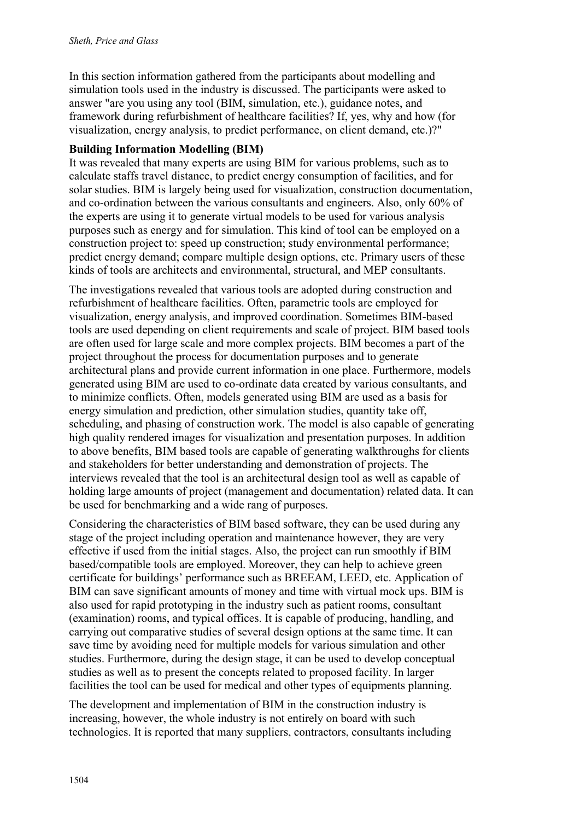In this section information gathered from the participants about modelling and simulation tools used in the industry is discussed. The participants were asked to answer "are you using any tool (BIM, simulation, etc.), guidance notes, and framework during refurbishment of healthcare facilities? If, yes, why and how (for visualization, energy analysis, to predict performance, on client demand, etc.)?"

#### **Building Information Modelling (BIM)**

It was revealed that many experts are using BIM for various problems, such as to calculate staffs travel distance, to predict energy consumption of facilities, and for solar studies. BIM is largely being used for visualization, construction documentation, and co-ordination between the various consultants and engineers. Also, only 60% of the experts are using it to generate virtual models to be used for various analysis purposes such as energy and for simulation. This kind of tool can be employed on a construction project to: speed up construction; study environmental performance; predict energy demand; compare multiple design options, etc. Primary users of these kinds of tools are architects and environmental, structural, and MEP consultants.

The investigations revealed that various tools are adopted during construction and refurbishment of healthcare facilities. Often, parametric tools are employed for visualization, energy analysis, and improved coordination. Sometimes BIM-based tools are used depending on client requirements and scale of project. BIM based tools are often used for large scale and more complex projects. BIM becomes a part of the project throughout the process for documentation purposes and to generate architectural plans and provide current information in one place. Furthermore, models generated using BIM are used to co-ordinate data created by various consultants, and to minimize conflicts. Often, models generated using BIM are used as a basis for energy simulation and prediction, other simulation studies, quantity take off, scheduling, and phasing of construction work. The model is also capable of generating high quality rendered images for visualization and presentation purposes. In addition to above benefits, BIM based tools are capable of generating walkthroughs for clients and stakeholders for better understanding and demonstration of projects. The interviews revealed that the tool is an architectural design tool as well as capable of holding large amounts of project (management and documentation) related data. It can be used for benchmarking and a wide rang of purposes.

Considering the characteristics of BIM based software, they can be used during any stage of the project including operation and maintenance however, they are very effective if used from the initial stages. Also, the project can run smoothly if BIM based/compatible tools are employed. Moreover, they can help to achieve green certificate for buildings' performance such as BREEAM, LEED, etc. Application of BIM can save significant amounts of money and time with virtual mock ups. BIM is also used for rapid prototyping in the industry such as patient rooms, consultant (examination) rooms, and typical offices. It is capable of producing, handling, and carrying out comparative studies of several design options at the same time. It can save time by avoiding need for multiple models for various simulation and other studies. Furthermore, during the design stage, it can be used to develop conceptual studies as well as to present the concepts related to proposed facility. In larger facilities the tool can be used for medical and other types of equipments planning.

The development and implementation of BIM in the construction industry is increasing, however, the whole industry is not entirely on board with such technologies. It is reported that many suppliers, contractors, consultants including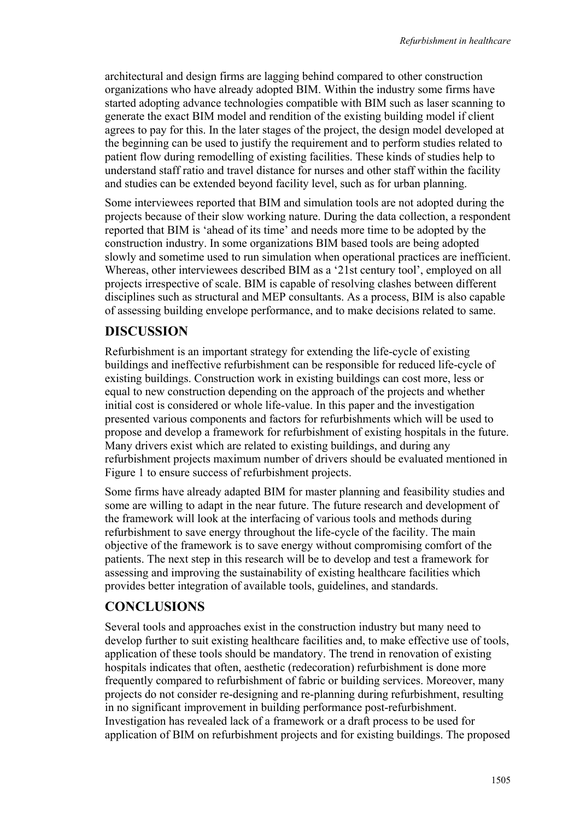architectural and design firms are lagging behind compared to other construction organizations who have already adopted BIM. Within the industry some firms have started adopting advance technologies compatible with BIM such as laser scanning to generate the exact BIM model and rendition of the existing building model if client agrees to pay for this. In the later stages of the project, the design model developed at the beginning can be used to justify the requirement and to perform studies related to patient flow during remodelling of existing facilities. These kinds of studies help to understand staff ratio and travel distance for nurses and other staff within the facility and studies can be extended beyond facility level, such as for urban planning.

Some interviewees reported that BIM and simulation tools are not adopted during the projects because of their slow working nature. During the data collection, a respondent reported that BIM is 'ahead of its time' and needs more time to be adopted by the construction industry. In some organizations BIM based tools are being adopted slowly and sometime used to run simulation when operational practices are inefficient. Whereas, other interviewees described BIM as a '21st century tool', employed on all projects irrespective of scale. BIM is capable of resolving clashes between different disciplines such as structural and MEP consultants. As a process, BIM is also capable of assessing building envelope performance, and to make decisions related to same.

## **DISCUSSION**

Refurbishment is an important strategy for extending the life-cycle of existing buildings and ineffective refurbishment can be responsible for reduced life-cycle of existing buildings. Construction work in existing buildings can cost more, less or equal to new construction depending on the approach of the projects and whether initial cost is considered or whole life-value. In this paper and the investigation presented various components and factors for refurbishments which will be used to propose and develop a framework for refurbishment of existing hospitals in the future. Many drivers exist which are related to existing buildings, and during any refurbishment projects maximum number of drivers should be evaluated mentioned in Figure 1 to ensure success of refurbishment projects.

Some firms have already adapted BIM for master planning and feasibility studies and some are willing to adapt in the near future. The future research and development of the framework will look at the interfacing of various tools and methods during refurbishment to save energy throughout the life-cycle of the facility. The main objective of the framework is to save energy without compromising comfort of the patients. The next step in this research will be to develop and test a framework for assessing and improving the sustainability of existing healthcare facilities which provides better integration of available tools, guidelines, and standards.

## **CONCLUSIONS**

Several tools and approaches exist in the construction industry but many need to develop further to suit existing healthcare facilities and, to make effective use of tools, application of these tools should be mandatory. The trend in renovation of existing hospitals indicates that often, aesthetic (redecoration) refurbishment is done more frequently compared to refurbishment of fabric or building services. Moreover, many projects do not consider re-designing and re-planning during refurbishment, resulting in no significant improvement in building performance post-refurbishment. Investigation has revealed lack of a framework or a draft process to be used for application of BIM on refurbishment projects and for existing buildings. The proposed